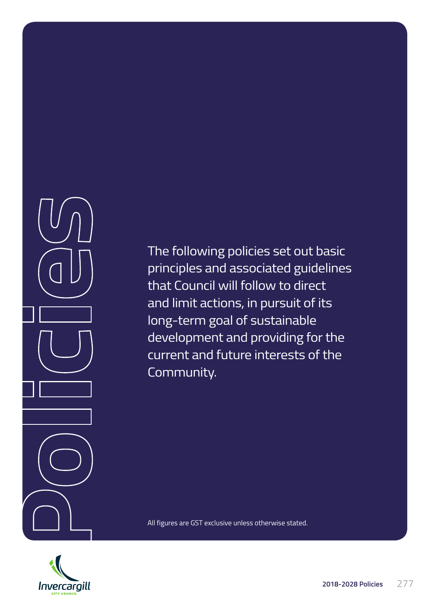

The following policies set out basic principles and associated guidelines that Council will follow to direct and limit actions, in pursuit of its long-term goal of sustainable development and providing for the current and future interests of the Community.



All figures are GST exclusive unless otherwise stated.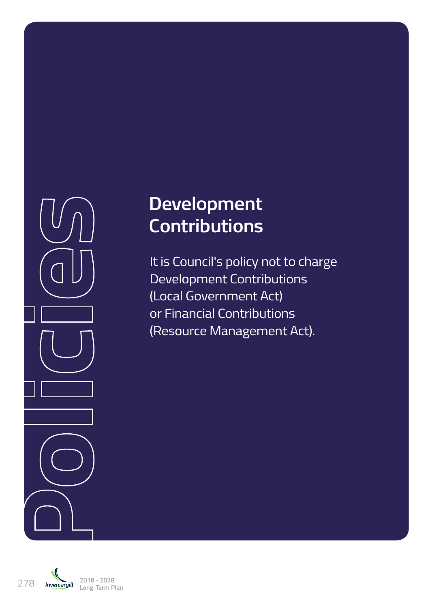

# **Development Contributions**

It is Council's policy not to charge Development Contributions (Local Government Act) or Financial Contributions (Resource Management Act).

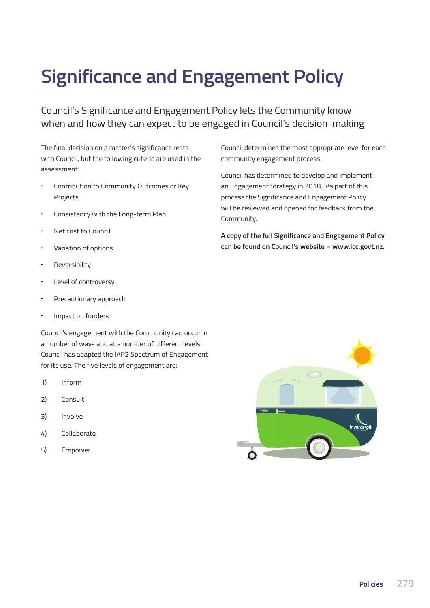# **Significance and Engagement Policy**

Council's Significance and Engagement Policy lets the Community know when and how they can expect to be engaged in Council's decision-making

The final decision on a matter's significance rests with Council, but the following criteria are used in the assessment:

- **·** Contribution to Community Outcomes or Key Projects
- **·** Consistency with the Long-term Plan
- **·** Net cost to Council
- **·** Variation of options
- **·** Reversibility
- **·** Level of controversy
- **·** Precautionary approach
- **·** Impact on funders

Council's engagement with the Community can occur in a number of ways and at a number of different levels. Council has adapted the IAP2 Spectrum of Engagement for its use. The five levels of engagement are:

- 1) Inform
- 2) Consult
- 3) Involve
- 4) Collaborate
- 5) Empower

Council determines the most appropriate level for each community engagement process.

Council has determined to develop and implement an Engagement Strategy in 2018. As part of this process the Significance and Engagement Policy will be reviewed and opened for feedback from the Community.

**A copy of the full Significance and Engagement Policy can be found on Council's website – www.icc.govt.nz.**

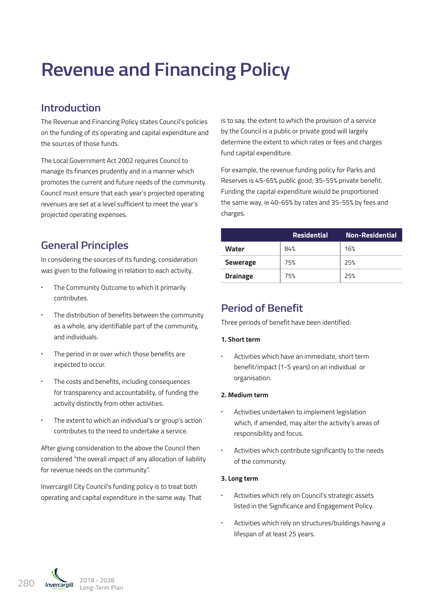# **Revenue and Financing Policy**

## **Introduction**

The Revenue and Financing Policy states Council's policies on the funding of its operating and capital expenditure and the sources of those funds.

The Local Government Act 2002 requires Council to manage its finances prudently and in a manner which promotes the current and future needs of the community. Council must ensure that each year's projected operating revenues are set at a level sufficient to meet the year's projected operating expenses.

## **General Principles**

In considering the sources of its funding, consideration was given to the following in relation to each activity.

- **·** The Community Outcome to which it primarily contributes.
- **·** The distribution of benefits between the community as a whole, any identifiable part of the community, and individuals.
- **·** The period in or over which those benefits are expected to occur.
- **·** The costs and benefits, including consequences for transparency and accountability, of funding the activity distinctly from other activities.
- **·** The extent to which an individual's or group's action contributes to the need to undertake a service.

After giving consideration to the above the Council then considered "the overall impact of any allocation of liability for revenue needs on the community".

Invercargill City Council's funding policy is to treat both operating and capital expenditure in the same way. That is to say, the extent to which the provision of a service by the Council is a public or private good will largely determine the extent to which rates or fees and charges fund capital expenditure.

For example, the revenue funding policy for Parks and Reserves is 45-65% public good; 35-55% private benefit. Funding the capital expenditure would be proportioned the same way, ie 40-65% by rates and 35-55% by fees and charges.

|                 | <b>Residential</b> | <b>Non-Residential</b> |
|-----------------|--------------------|------------------------|
| <b>Water</b>    | 84%                | 16%                    |
| <b>Sewerage</b> | 75%                | 25%                    |
| <b>Drainage</b> | 75%                | 25%                    |

## **Period of Benefit**

Three periods of benefit have been identified:

## **1. Short term**

**·** Activities which have an immediate, short term benefit/impact (1-5 years) on an individual or organisation.

## **2. Medium term**

- **·** Activities undertaken to implement legislation which, if amended, may alter the activity's areas of responsibility and focus.
- **·** Activities which contribute significantly to the needs of the community.

### **3. Long term**

- **·** Activities which rely on Council's strategic assets listed in the Significance and Engagement Policy.
- **·** Activities which rely on structures/buildings having a lifespan of at least 25 years.

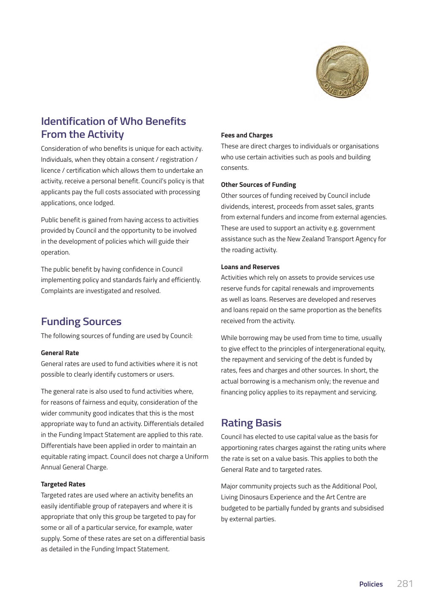

# **Identification of Who Benefits From the Activity**

Consideration of who benefits is unique for each activity. Individuals, when they obtain a consent / registration / licence / certification which allows them to undertake an activity, receive a personal benefit. Council's policy is that applicants pay the full costs associated with processing applications, once lodged.

Public benefit is gained from having access to activities provided by Council and the opportunity to be involved in the development of policies which will guide their operation.

The public benefit by having confidence in Council implementing policy and standards fairly and efficiently. Complaints are investigated and resolved.

## **Funding Sources**

The following sources of funding are used by Council:

#### **General Rate**

General rates are used to fund activities where it is not possible to clearly identify customers or users.

The general rate is also used to fund activities where, for reasons of fairness and equity, consideration of the wider community good indicates that this is the most appropriate way to fund an activity. Differentials detailed in the Funding Impact Statement are applied to this rate. Differentials have been applied in order to maintain an equitable rating impact. Council does not charge a Uniform Annual General Charge.

#### **Targeted Rates**

Targeted rates are used where an activity benefits an easily identifiable group of ratepayers and where it is appropriate that only this group be targeted to pay for some or all of a particular service, for example, water supply. Some of these rates are set on a differential basis as detailed in the Funding Impact Statement.

#### **Fees and Charges**

These are direct charges to individuals or organisations who use certain activities such as pools and building consents.

#### **Other Sources of Funding**

Other sources of funding received by Council include dividends, interest, proceeds from asset sales, grants from external funders and income from external agencies. These are used to support an activity e.g. government assistance such as the New Zealand Transport Agency for the roading activity.

### **Loans and Reserves**

Activities which rely on assets to provide services use reserve funds for capital renewals and improvements as well as loans. Reserves are developed and reserves and loans repaid on the same proportion as the benefits received from the activity.

While borrowing may be used from time to time, usually to give effect to the principles of intergenerational equity, the repayment and servicing of the debt is funded by rates, fees and charges and other sources. In short, the actual borrowing is a mechanism only; the revenue and financing policy applies to its repayment and servicing.

## **Rating Basis**

Council has elected to use capital value as the basis for apportioning rates charges against the rating units where the rate is set on a value basis. This applies to both the General Rate and to targeted rates.

Major community projects such as the Additional Pool, Living Dinosaurs Experience and the Art Centre are budgeted to be partially funded by grants and subsidised by external parties.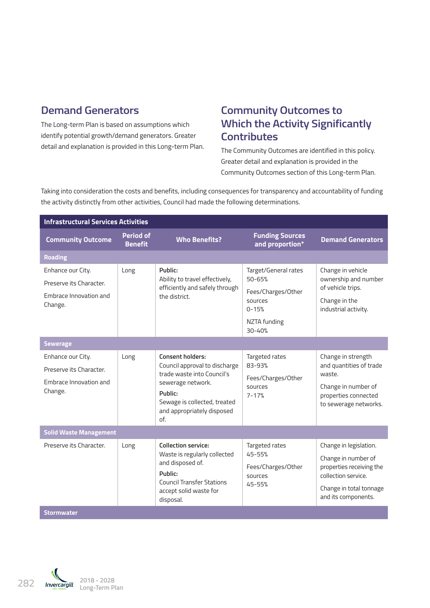# **Demand Generators**

The Long-term Plan is based on assumptions which identify potential growth/demand generators. Greater detail and explanation is provided in this Long-term Plan.

# **Community Outcomes to Which the Activity Significantly Contributes**

The Community Outcomes are identified in this policy. Greater detail and explanation is provided in the Community Outcomes section of this Long-term Plan.

Taking into consideration the costs and benefits, including consequences for transparency and accountability of funding the activity distinctly from other activities, Council had made the following determinations.

| <b>Infrastructural Services Activities</b>                                        |                                    |                                                                                                                                                                                      |                                                                                                                |                                                                                                                                                    |  |
|-----------------------------------------------------------------------------------|------------------------------------|--------------------------------------------------------------------------------------------------------------------------------------------------------------------------------------|----------------------------------------------------------------------------------------------------------------|----------------------------------------------------------------------------------------------------------------------------------------------------|--|
| <b>Community Outcome</b>                                                          | <b>Period of</b><br><b>Benefit</b> | <b>Who Benefits?</b>                                                                                                                                                                 | <b>Funding Sources</b><br>and proportion*                                                                      | <b>Demand Generators</b>                                                                                                                           |  |
| <b>Roading</b>                                                                    |                                    |                                                                                                                                                                                      |                                                                                                                |                                                                                                                                                    |  |
| Enhance our City.<br>Preserve its Character.<br>Embrace Innovation and<br>Change. | Long                               | Public:<br>Ability to travel effectively,<br>efficiently and safely through<br>the district.                                                                                         | Target/General rates<br>$50 - 65%$<br>Fees/Charges/Other<br>sources<br>$0 - 15%$<br>NZTA funding<br>$30 - 40%$ | Change in vehicle<br>ownership and number<br>of vehicle trips.<br>Change in the<br>industrial activity.                                            |  |
| <b>Sewerage</b>                                                                   |                                    |                                                                                                                                                                                      |                                                                                                                |                                                                                                                                                    |  |
| Enhance our City.<br>Preserve its Character.<br>Embrace Innovation and<br>Change. | Long                               | Consent holders:<br>Council approval to discharge<br>trade waste into Council's<br>sewerage network.<br>Public:<br>Sewage is collected, treated<br>and appropriately disposed<br>of. | Targeted rates<br>83-93%<br>Fees/Charges/Other<br>sources<br>$7 - 17%$                                         | Change in strength<br>and quantities of trade<br>waste.<br>Change in number of<br>properties connected<br>to sewerage networks.                    |  |
| <b>Solid Waste Management</b>                                                     |                                    |                                                                                                                                                                                      |                                                                                                                |                                                                                                                                                    |  |
| Preserve its Character.                                                           | Long                               | <b>Collection service:</b><br>Waste is regularly collected<br>and disposed of.<br>Public:<br><b>Council Transfer Stations</b><br>accept solid waste for<br>disposal.                 | Targeted rates<br>$45 - 55%$<br>Fees/Charges/Other<br>sources<br>45-55%                                        | Change in legislation.<br>Change in number of<br>properties receiving the<br>collection service.<br>Change in total tonnage<br>and its components. |  |
| <b>Stormwater</b>                                                                 |                                    |                                                                                                                                                                                      |                                                                                                                |                                                                                                                                                    |  |

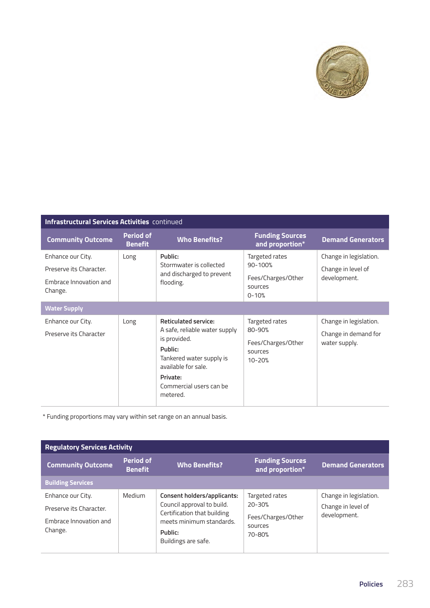

## **Infrastructural Services Activities** continued

| <b>Community Outcome</b>                                                          | <b>Period of</b><br><b>Benefit</b> | <b>Who Benefits?</b>                                                                                                                                                                          | <b>Funding Sources</b><br>and proportion*                                   | <b>Demand Generators</b>                                        |  |
|-----------------------------------------------------------------------------------|------------------------------------|-----------------------------------------------------------------------------------------------------------------------------------------------------------------------------------------------|-----------------------------------------------------------------------------|-----------------------------------------------------------------|--|
| Enhance our City.<br>Preserve its Character.<br>Embrace Innovation and<br>Change. | Long                               | Public:<br>Stormwater is collected<br>and discharged to prevent<br>flooding.                                                                                                                  | Targeted rates<br>$90 - 100%$<br>Fees/Charges/Other<br>sources<br>$0 - 10%$ | Change in legislation.<br>Change in level of<br>development.    |  |
| <b>Water Supply</b>                                                               |                                    |                                                                                                                                                                                               |                                                                             |                                                                 |  |
| Enhance our City.<br>Preserve its Character                                       | Long                               | <b>Reticulated service:</b><br>A safe, reliable water supply<br>is provided.<br>Public:<br>Tankered water supply is<br>available for sale.<br>Private:<br>Commercial users can be<br>metered. | Targeted rates<br>$80 - 90%$<br>Fees/Charges/Other<br>sources<br>$10 - 20%$ | Change in legislation.<br>Change in demand for<br>water supply. |  |

\* Funding proportions may vary within set range on an annual basis.

| <b>Regulatory Services Activity</b>                                               |                                    |                                                                                                                                                        |                                                                         |                                                              |  |
|-----------------------------------------------------------------------------------|------------------------------------|--------------------------------------------------------------------------------------------------------------------------------------------------------|-------------------------------------------------------------------------|--------------------------------------------------------------|--|
| <b>Community Outcome</b>                                                          | <b>Period of</b><br><b>Benefit</b> | <b>Who Benefits?</b>                                                                                                                                   | <b>Funding Sources</b><br>and proportion*                               | <b>Demand Generators</b>                                     |  |
| <b>Building Services</b>                                                          |                                    |                                                                                                                                                        |                                                                         |                                                              |  |
| Enhance our City.<br>Preserve its Character.<br>Embrace Innovation and<br>Change. | Medium                             | Consent holders/applicants:<br>Council approval to build.<br>Certification that building<br>meets minimum standards.<br>Public:<br>Buildings are safe. | Targeted rates<br>$20 - 30%$<br>Fees/Charges/Other<br>sources<br>70-80% | Change in legislation.<br>Change in level of<br>development. |  |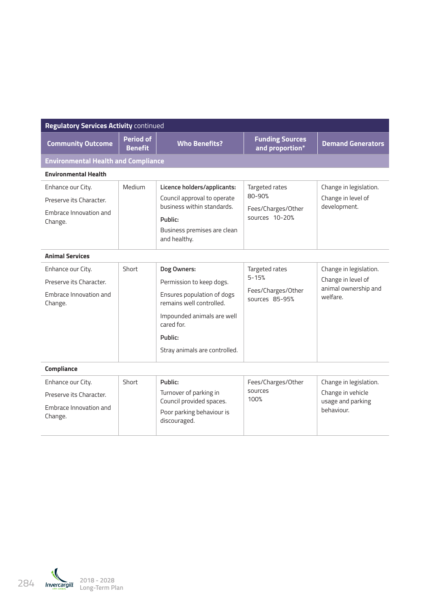| <b>Regulatory Services Activity continued</b>                                     |                                    |                                                                                                                                                                                           |                                                                     |                                                                                  |  |  |
|-----------------------------------------------------------------------------------|------------------------------------|-------------------------------------------------------------------------------------------------------------------------------------------------------------------------------------------|---------------------------------------------------------------------|----------------------------------------------------------------------------------|--|--|
| <b>Community Outcome</b>                                                          | <b>Period of</b><br><b>Benefit</b> | <b>Who Benefits?</b>                                                                                                                                                                      | <b>Funding Sources</b><br>and proportion*                           | <b>Demand Generators</b>                                                         |  |  |
| <b>Environmental Health and Compliance</b>                                        |                                    |                                                                                                                                                                                           |                                                                     |                                                                                  |  |  |
| <b>Environmental Health</b>                                                       |                                    |                                                                                                                                                                                           |                                                                     |                                                                                  |  |  |
| Enhance our City.<br>Preserve its Character.<br>Embrace Innovation and<br>Change. | Medium                             | Licence holders/applicants:<br>Council approval to operate<br>business within standards.<br>Public:<br>Business premises are clean<br>and healthy.                                        | Targeted rates<br>80-90%<br>Fees/Charges/Other<br>sources 10-20%    | Change in legislation.<br>Change in level of<br>development.                     |  |  |
| <b>Animal Services</b>                                                            |                                    |                                                                                                                                                                                           |                                                                     |                                                                                  |  |  |
| Enhance our City.<br>Preserve its Character.<br>Embrace Innovation and<br>Change. | Short                              | Dog Owners:<br>Permission to keep dogs.<br>Ensures population of dogs<br>remains well controlled.<br>Impounded animals are well<br>cared for.<br>Public:<br>Stray animals are controlled. | Targeted rates<br>$5 - 15%$<br>Fees/Charges/Other<br>sources 85-95% | Change in legislation.<br>Change in level of<br>animal ownership and<br>welfare. |  |  |
| Compliance                                                                        |                                    |                                                                                                                                                                                           |                                                                     |                                                                                  |  |  |
| Enhance our City.<br>Preserve its Character.<br>Embrace Innovation and<br>Change. | Short                              | Public:<br>Turnover of parking in<br>Council provided spaces.<br>Poor parking behaviour is<br>discouraged.                                                                                | Fees/Charges/Other<br>sources<br>100%                               | Change in legislation.<br>Change in vehicle<br>usage and parking<br>behaviour.   |  |  |

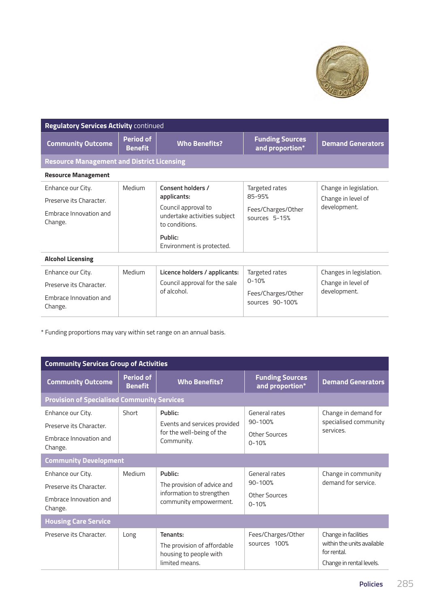

| <b>Regulatory Services Activity continued</b>                                     |                                    |                                                                                                                                                   |                                                                      |                                                               |
|-----------------------------------------------------------------------------------|------------------------------------|---------------------------------------------------------------------------------------------------------------------------------------------------|----------------------------------------------------------------------|---------------------------------------------------------------|
| <b>Community Outcome</b>                                                          | <b>Period of</b><br><b>Benefit</b> | <b>Who Benefits?</b>                                                                                                                              | <b>Funding Sources</b><br>and proportion*                            | <b>Demand Generators</b>                                      |
| <b>Resource Management and District Licensing</b>                                 |                                    |                                                                                                                                                   |                                                                      |                                                               |
| <b>Resource Management</b>                                                        |                                    |                                                                                                                                                   |                                                                      |                                                               |
| Enhance our City.<br>Preserve its Character.<br>Embrace Innovation and<br>Change. | Medium                             | Consent holders /<br>applicants:<br>Council approval to<br>undertake activities subject<br>to conditions.<br>Public:<br>Environment is protected. | Targeted rates<br>85-95%<br>Fees/Charges/Other<br>sources 5-15%      | Change in legislation.<br>Change in level of<br>development.  |
| <b>Alcohol Licensing</b>                                                          |                                    |                                                                                                                                                   |                                                                      |                                                               |
| Enhance our City.<br>Preserve its Character.<br>Embrace Innovation and<br>Change. | Medium                             | Licence holders / applicants:<br>Council approval for the sale<br>of alcohol.                                                                     | Targeted rates<br>$0 - 10%$<br>Fees/Charges/Other<br>sources 90-100% | Changes in legislation.<br>Change in level of<br>development. |

\* Funding proportions may vary within set range on an annual basis.

| <b>Community Services Group of Activities</b>                                     |                                    |                                                                                               |                                                            |                                                                                               |
|-----------------------------------------------------------------------------------|------------------------------------|-----------------------------------------------------------------------------------------------|------------------------------------------------------------|-----------------------------------------------------------------------------------------------|
| <b>Community Outcome</b>                                                          | <b>Period of</b><br><b>Benefit</b> | <b>Who Benefits?</b>                                                                          | <b>Funding Sources</b><br>and proportion*                  | <b>Demand Generators</b>                                                                      |
| <b>Provision of Specialised Community Services</b>                                |                                    |                                                                                               |                                                            |                                                                                               |
| Enhance our City.<br>Preserve its Character.                                      | Short                              | Public:<br>Events and services provided                                                       | General rates<br>$90 - 100%$                               | Change in demand for<br>specialised community                                                 |
| Embrace Innovation and<br>Change.                                                 |                                    | for the well-being of the<br>Community.                                                       | Other Sources<br>$0 - 10%$                                 | services.                                                                                     |
| <b>Community Development</b>                                                      |                                    |                                                                                               |                                                            |                                                                                               |
| Enhance our City.<br>Preserve its Character.<br>Embrace Innovation and<br>Change. | Medium                             | Public:<br>The provision of advice and<br>information to strengthen<br>community empowerment. | General rates<br>$90 - 100%$<br>Other Sources<br>$0 - 10%$ | Change in community<br>demand for service.                                                    |
| <b>Housing Care Service</b>                                                       |                                    |                                                                                               |                                                            |                                                                                               |
| Preserve its Character.                                                           | Long                               | Tenants:<br>The provision of affordable<br>housing to people with<br>limited means.           | Fees/Charges/Other<br>sources 100%                         | Change in facilities<br>within the units available<br>for rental.<br>Change in rental levels. |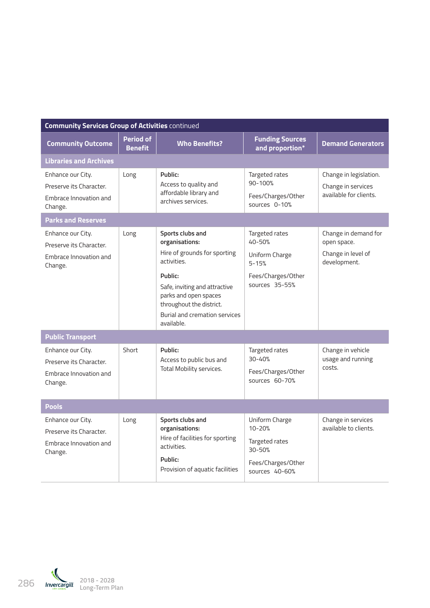| <b>Community Services Group of Activities continued</b>                           |                                    |                                                                                                                                                                                                                                   |                                                                                                  |                                                                           |  |
|-----------------------------------------------------------------------------------|------------------------------------|-----------------------------------------------------------------------------------------------------------------------------------------------------------------------------------------------------------------------------------|--------------------------------------------------------------------------------------------------|---------------------------------------------------------------------------|--|
| <b>Community Outcome</b>                                                          | <b>Period of</b><br><b>Benefit</b> | <b>Who Benefits?</b>                                                                                                                                                                                                              | <b>Funding Sources</b><br>and proportion*                                                        | <b>Demand Generators</b>                                                  |  |
| <b>Libraries and Archives</b>                                                     |                                    |                                                                                                                                                                                                                                   |                                                                                                  |                                                                           |  |
| Enhance our City.<br>Preserve its Character.<br>Embrace Innovation and<br>Change. | Long                               | Public:<br>Access to quality and<br>affordable library and<br>archives services.                                                                                                                                                  | Targeted rates<br>90-100%<br>Fees/Charges/Other<br>sources 0-10%                                 | Change in legislation.<br>Change in services<br>available for clients.    |  |
| <b>Parks and Reserves</b>                                                         |                                    |                                                                                                                                                                                                                                   |                                                                                                  |                                                                           |  |
| Enhance our City.<br>Preserve its Character.<br>Embrace Innovation and<br>Change. | Long                               | Sports clubs and<br>organisations:<br>Hire of grounds for sporting<br>activities.<br>Public:<br>Safe, inviting and attractive<br>parks and open spaces<br>throughout the district.<br>Burial and cremation services<br>available. | Targeted rates<br>40-50%<br>Uniform Charge<br>$5 - 15%$<br>Fees/Charges/Other<br>sources 35-55%  | Change in demand for<br>open space.<br>Change in level of<br>development. |  |
| <b>Public Transport</b>                                                           |                                    |                                                                                                                                                                                                                                   |                                                                                                  |                                                                           |  |
| Enhance our City.<br>Preserve its Character.<br>Embrace Innovation and<br>Change. | Short                              | Public:<br>Access to public bus and<br>Total Mobility services.                                                                                                                                                                   | Targeted rates<br>$30 - 40%$<br>Fees/Charges/Other<br>sources 60-70%                             | Change in vehicle<br>usage and running<br>costs.                          |  |
| <b>Pools</b>                                                                      |                                    |                                                                                                                                                                                                                                   |                                                                                                  |                                                                           |  |
| Enhance our City.<br>Preserve its Character.<br>Embrace Innovation and<br>Change. | Long                               | Sports clubs and<br>organisations:<br>Hire of facilities for sporting<br>activities.<br>Public:<br>Provision of aquatic facilities                                                                                                | Uniform Charge<br>$10 - 20%$<br>Targeted rates<br>30-50%<br>Fees/Charges/Other<br>sources 40-60% | Change in services<br>available to clients.                               |  |

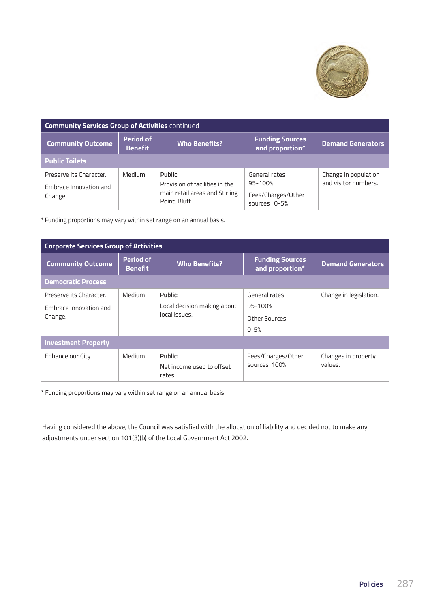

| <b>Community Services Group of Activities continued</b>      |                             |                                                                                              |                                                                    |                                              |  |
|--------------------------------------------------------------|-----------------------------|----------------------------------------------------------------------------------------------|--------------------------------------------------------------------|----------------------------------------------|--|
| <b>Community Outcome</b>                                     | Period of<br><b>Benefit</b> | <b>Who Benefits?</b>                                                                         | <b>Funding Sources</b><br>and proportion*                          | <b>Demand Generators</b>                     |  |
| <b>Public Toilets</b>                                        |                             |                                                                                              |                                                                    |                                              |  |
| Preserve its Character.<br>Embrace Innovation and<br>Change. | Medium                      | Public:<br>Provision of facilities in the<br>main retail areas and Stirling<br>Point, Bluff. | General rates<br>$95 - 100%$<br>Fees/Charges/Other<br>sources 0-5% | Change in population<br>and visitor numbers. |  |

\* Funding proportions may vary within set range on an annual basis.

| <b>Corporate Services Group of Activities</b>                |                                    |                                                         |                                                           |                                |  |
|--------------------------------------------------------------|------------------------------------|---------------------------------------------------------|-----------------------------------------------------------|--------------------------------|--|
| <b>Community Outcome</b>                                     | <b>Period of</b><br><b>Benefit</b> | <b>Who Benefits?</b>                                    | <b>Funding Sources</b><br>and proportion*                 | <b>Demand Generators</b>       |  |
| <b>Democratic Process</b>                                    |                                    |                                                         |                                                           |                                |  |
| Preserve its Character.<br>Embrace Innovation and<br>Change. | Medium                             | Public:<br>Local decision making about<br>local issues. | General rates<br>$95 - 100%$<br>Other Sources<br>$0 - 5%$ | Change in legislation.         |  |
| <b>Investment Property</b>                                   |                                    |                                                         |                                                           |                                |  |
| Enhance our City.                                            | Medium                             | Public:<br>Net income used to offset<br>rates.          | Fees/Charges/Other<br>sources 100%                        | Changes in property<br>values. |  |

\* Funding proportions may vary within set range on an annual basis.

Having considered the above, the Council was satisfied with the allocation of liability and decided not to make any adjustments under section 101(3)(b) of the Local Government Act 2002.